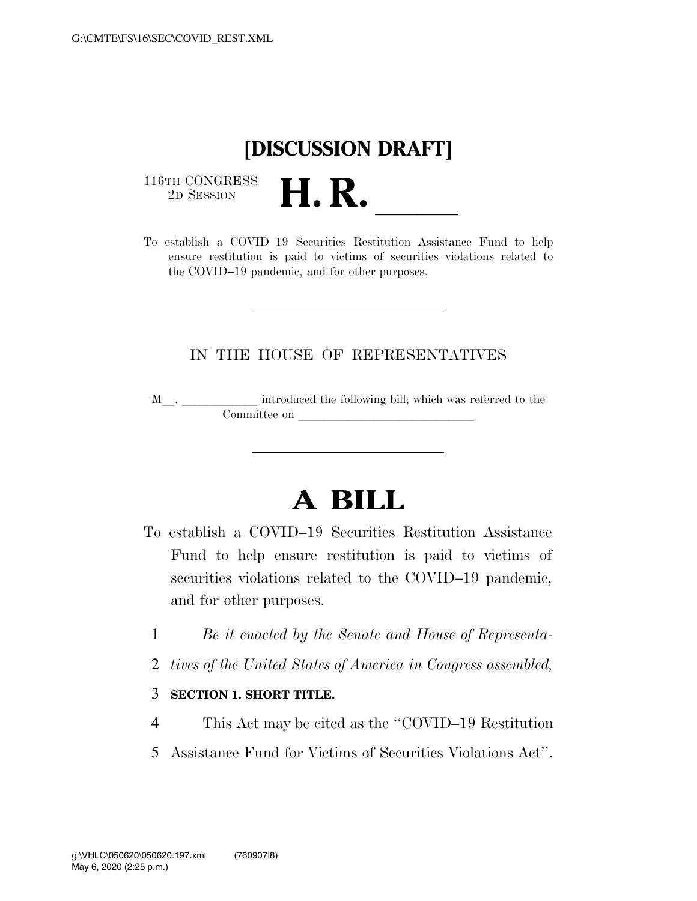## **[DISCUSSION DRAFT]**

 $\begin{array}{c} \textbf{116TH CONGRESS} \\ \textbf{2D SESION} \end{array}$ 



## IN THE HOUSE OF REPRESENTATIVES

M<sub>\_\_\_</sub>. \_\_\_\_\_\_\_\_\_\_\_\_\_ introduced the following bill; which was referred to the  $\noindent \begin{tabular}{c} \multicolumn{1}{c}{} \multicolumn{1}{c}{} \multicolumn{1}{c}{} \multicolumn{1}{c}{} \multicolumn{1}{c}{} \multicolumn{1}{c}{} \multicolumn{1}{c}{} \multicolumn{1}{c}{} \multicolumn{1}{c}{} \multicolumn{1}{c}{} \multicolumn{1}{c}{} \multicolumn{1}{c}{} \multicolumn{1}{c}{} \multicolumn{1}{c}{} \multicolumn{1}{c}{} \multicolumn{1}{c}{} \multicolumn{1}{c}{} \multicolumn{1}{c}{} \multicolumn{1}{c}{} \multicolumn{1}{c}{} \multicolumn{1}{c}$ 

## **A BILL**

- To establish a COVID–19 Securities Restitution Assistance Fund to help ensure restitution is paid to victims of securities violations related to the COVID–19 pandemic, and for other purposes.
	- 1 *Be it enacted by the Senate and House of Representa-*
	- 2 *tives of the United States of America in Congress assembled,*

## 3 **SECTION 1. SHORT TITLE.**

- 4 This Act may be cited as the ''COVID–19 Restitution
- 5 Assistance Fund for Victims of Securities Violations Act''.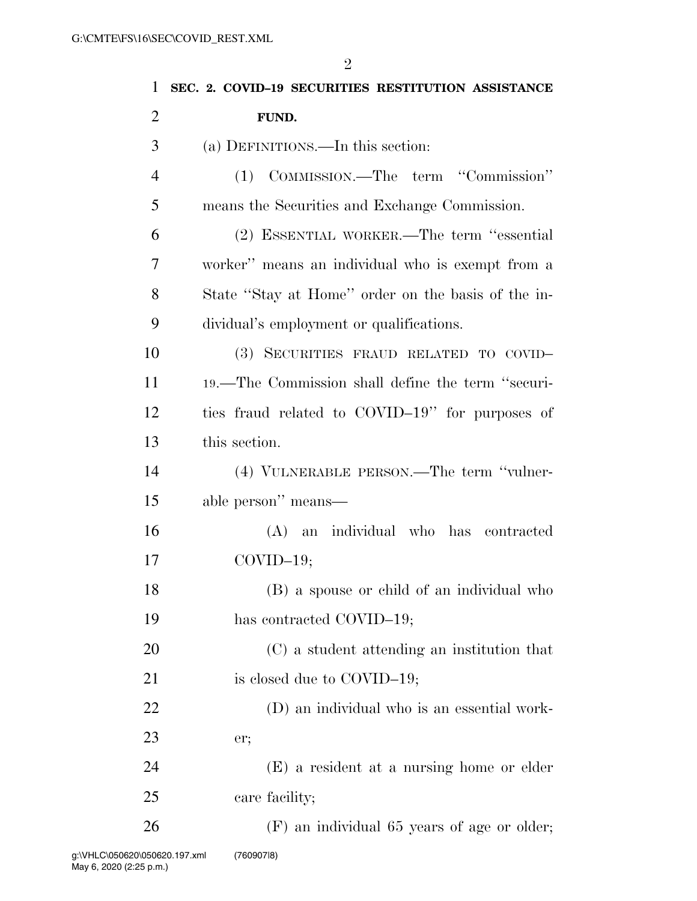| 1              | SEC. 2. COVID-19 SECURITIES RESTITUTION ASSISTANCE |
|----------------|----------------------------------------------------|
| $\overline{2}$ | FUND.                                              |
| 3              | (a) DEFINITIONS.—In this section:                  |
| $\overline{4}$ | (1) COMMISSION.—The term "Commission"              |
| 5              | means the Securities and Exchange Commission.      |
| 6              | (2) ESSENTIAL WORKER.—The term "essential          |
| 7              | worker" means an individual who is exempt from a   |
| 8              | State "Stay at Home" order on the basis of the in- |
| 9              | dividual's employment or qualifications.           |
| 10             | (3) SECURITIES FRAUD RELATED TO COVID-             |
| 11             | 19.—The Commission shall define the term "securi-  |
| 12             | ties fraud related to COVID-19" for purposes of    |
| 13             | this section.                                      |
| 14             | (4) VULNERABLE PERSON.—The term "vulner-           |
| 15             | able person" means—                                |
| 16             | (A) an individual who has contracted               |
| 17             | $COVID-19;$                                        |
| 18             | (B) a spouse or child of an individual who         |
| 19             | has contracted COVID-19;                           |
| 20             | (C) a student attending an institution that        |
| 21             | is closed due to COVID-19;                         |
| 22             | (D) an individual who is an essential work-        |
| 23             | er;                                                |
| 24             | (E) a resident at a nursing home or elder          |
| 25             | care facility;                                     |
| 26             | (F) an individual 65 years of age or older;        |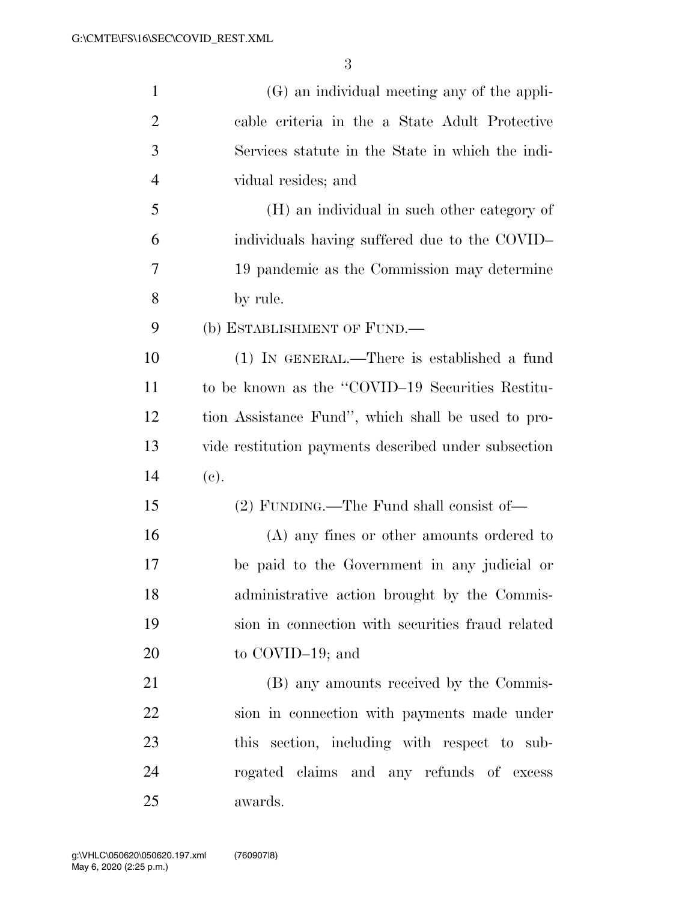| $\mathbf{1}$   | (G) an individual meeting any of the appli-          |
|----------------|------------------------------------------------------|
| $\overline{2}$ | cable criteria in the a State Adult Protective       |
| 3              | Services statute in the State in which the indi-     |
| $\overline{4}$ | vidual resides; and                                  |
| 5              | (H) an individual in such other category of          |
| 6              | individuals having suffered due to the COVID-        |
| 7              | 19 pandemic as the Commission may determine          |
| 8              | by rule.                                             |
| 9              | (b) ESTABLISHMENT OF FUND.—                          |
| 10             | $(1)$ IN GENERAL.—There is established a fund        |
| 11             | to be known as the "COVID-19 Securities Restitu-     |
| 12             | tion Assistance Fund", which shall be used to pro-   |
| 13             | vide restitution payments described under subsection |
| 14             | (e).                                                 |
| 15             | $(2)$ FUNDING.—The Fund shall consist of—            |
| 16             | (A) any fines or other amounts ordered to            |
| 17             | be paid to the Government in any judicial or         |
| 18             | administrative action brought by the Commis-         |
| 19             | sion in connection with securities fraud related     |
| 20             | to COVID-19; and                                     |
| 21             | (B) any amounts received by the Commis-              |
| 22             | sion in connection with payments made under          |
| 23             | this section, including with respect to sub-         |
| 24             | rogated claims and any refunds of excess             |
| 25             | awards.                                              |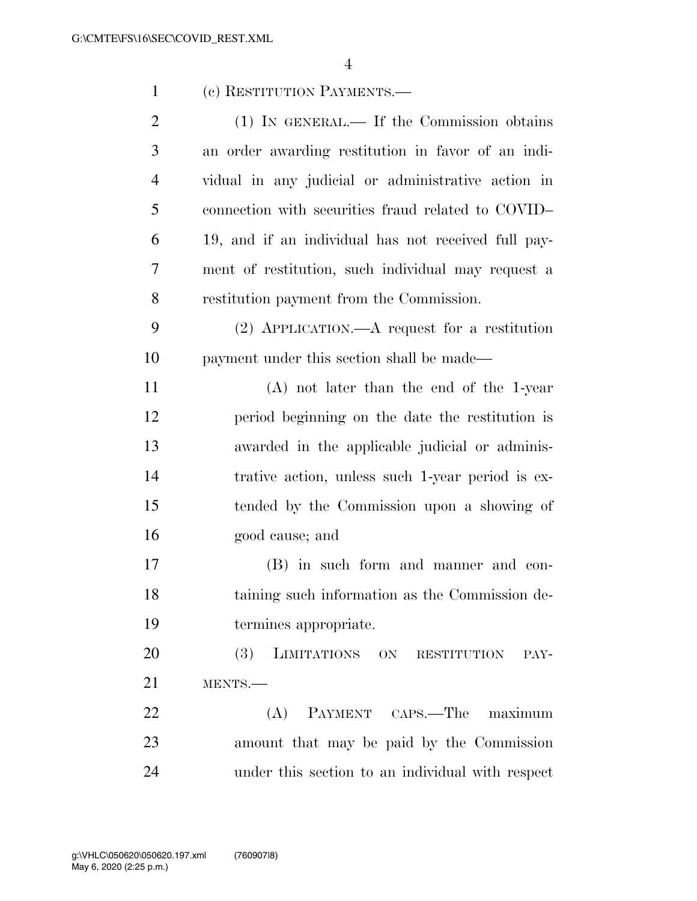| $\mathbf{1}$   | (c) RESTITUTION PAYMENTS.—                          |
|----------------|-----------------------------------------------------|
| $\overline{2}$ | $(1)$ IN GENERAL.— If the Commission obtains        |
| 3              | an order awarding restitution in favor of an indi-  |
| 4              | vidual in any judicial or administrative action in  |
| 5              | connection with securities fraud related to COVID-  |
| 6              | 19, and if an individual has not received full pay- |
| 7              | ment of restitution, such individual may request a  |
| 8              | restitution payment from the Commission.            |
| 9              | $(2)$ APPLICATION.—A request for a restitution      |
| 10             | payment under this section shall be made—           |
| 11             | $(A)$ not later than the end of the 1-year          |
| 12             | period beginning on the date the restitution is     |
| 13             | awarded in the applicable judicial or adminis-      |
| 14             | trative action, unless such 1-year period is ex-    |
| 15             | tended by the Commission upon a showing of          |
| 16             | good cause; and                                     |
| 17             | (B) in such form and manner and con-                |
| 18             | taining such information as the Commission de-      |
| 19             | termines appropriate.                               |
| 20             | (3) LIMITATIONS ON RESTITUTION PAY-                 |
| 21             | MENTS.                                              |
| 22             | (A) PAYMENT CAPS.—The maximum                       |
| 23             | amount that may be paid by the Commission           |
| 24             | under this section to an individual with respect    |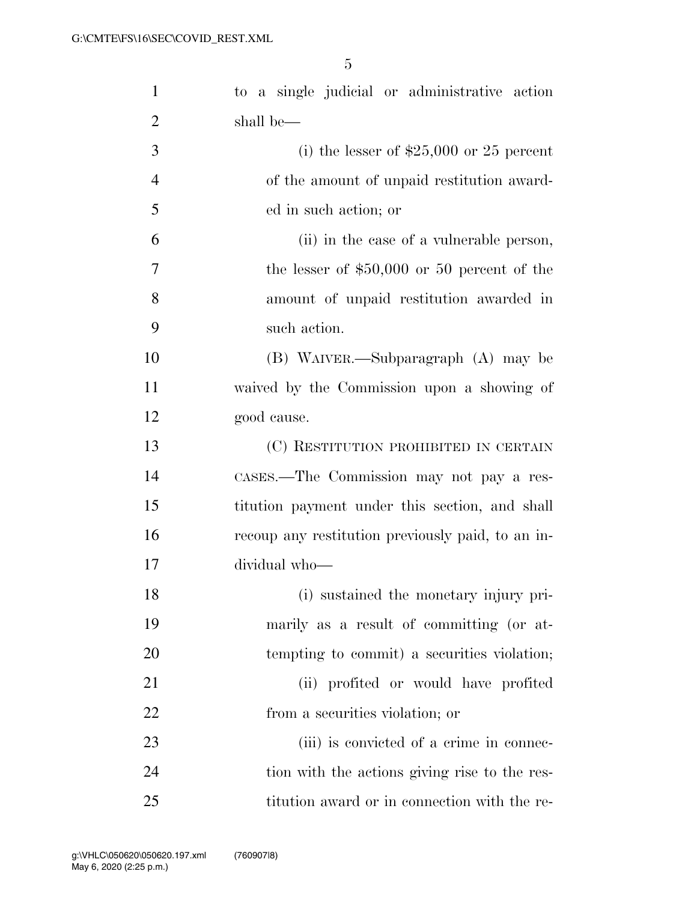| $\mathbf{1}$   | to a single judicial or administrative action     |
|----------------|---------------------------------------------------|
| $\overline{2}$ | shall be—                                         |
| 3              | (i) the lesser of $$25,000$ or 25 percent         |
| $\overline{4}$ | of the amount of unpaid restitution award-        |
| 5              | ed in such action; or                             |
| 6              | (ii) in the case of a vulnerable person,          |
| 7              | the lesser of $$50,000$ or 50 percent of the      |
| 8              | amount of unpaid restitution awarded in           |
| 9              | such action.                                      |
| 10             | (B) WAIVER.—Subparagraph (A) may be               |
| 11             | waived by the Commission upon a showing of        |
| 12             | good cause.                                       |
| 13             | (C) RESTITUTION PROHIBITED IN CERTAIN             |
| 14             | CASES.—The Commission may not pay a res-          |
| 15             | titution payment under this section, and shall    |
| 16             | recoup any restitution previously paid, to an in- |
| 17             | dividual who-                                     |
| 18             | (i) sustained the monetary injury pri-            |
| 19             | marily as a result of committing (or at-          |
| 20             | tempting to commit) a securities violation;       |
| 21             | (ii) profited or would have profited              |
| 22             | from a securities violation; or                   |
| 23             | (iii) is convicted of a crime in connec-          |
| 24             | tion with the actions giving rise to the res-     |
| 25             | titution award or in connection with the re-      |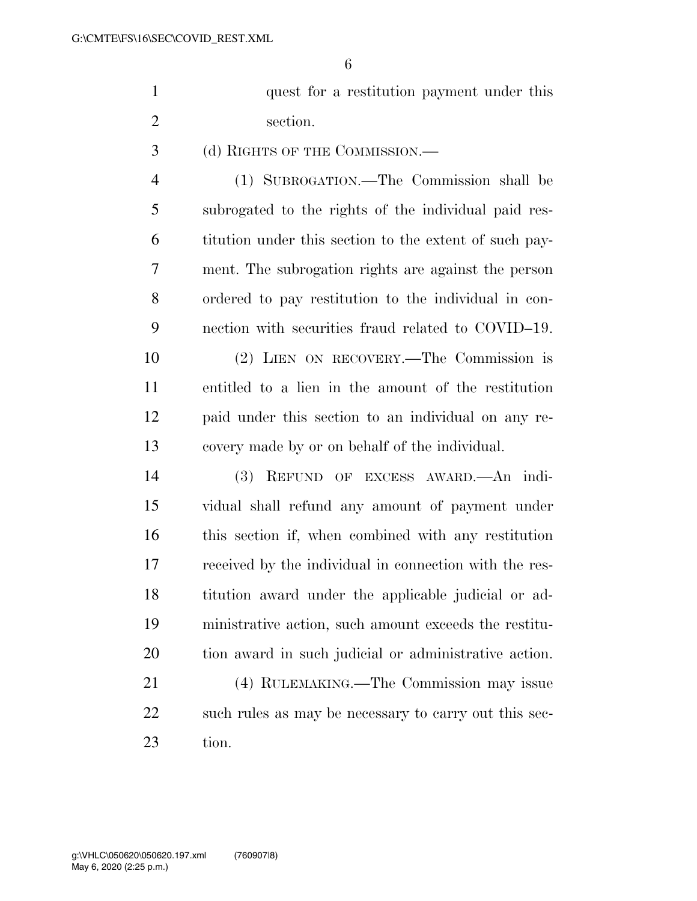| quest for a restitution payment under this |
|--------------------------------------------|
| section.                                   |

(d) RIGHTS OF THE COMMISSION.—

 (1) SUBROGATION.—The Commission shall be subrogated to the rights of the individual paid res- titution under this section to the extent of such pay- ment. The subrogation rights are against the person ordered to pay restitution to the individual in con-nection with securities fraud related to COVID–19.

 (2) LIEN ON RECOVERY.—The Commission is entitled to a lien in the amount of the restitution paid under this section to an individual on any re-covery made by or on behalf of the individual.

 (3) REFUND OF EXCESS AWARD.—An indi- vidual shall refund any amount of payment under this section if, when combined with any restitution received by the individual in connection with the res- titution award under the applicable judicial or ad- ministrative action, such amount exceeds the restitu-tion award in such judicial or administrative action.

 (4) RULEMAKING.—The Commission may issue 22 such rules as may be necessary to carry out this sec-tion.